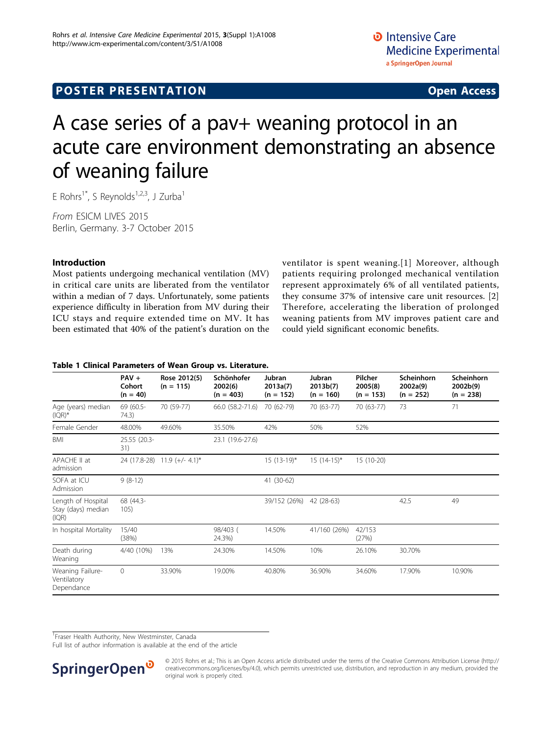# **POSTER PRESENTATION CONSUMING ACCESS**

# A case series of a pav+ weaning protocol in an acute care environment demonstrating an absence of weaning failure

E Rohrs<sup>1\*</sup>, S Reynolds<sup>1,2,3</sup>, J Zurba<sup>1</sup>

From ESICM LIVES 2015 Berlin, Germany. 3-7 October 2015

## Introduction

Most patients undergoing mechanical ventilation (MV) in critical care units are liberated from the ventilator within a median of 7 days. Unfortunately, some patients experience difficulty in liberation from MV during their ICU stays and require extended time on MV. It has been estimated that 40% of the patient's duration on the ventilator is spent weaning.[[1](#page-1-0)] Moreover, although patients requiring prolonged mechanical ventilation represent approximately 6% of all ventilated patients, they consume 37% of intensive care unit resources. [\[2](#page-1-0)] Therefore, accelerating the liberation of prolonged weaning patients from MV improves patient care and could yield significant economic benefits.

### Table 1 Clinical Parameters of Wean Group vs. Literature.

|                                                   | $PAV +$<br>Cohort<br>$(n = 40)$ | Rose 2012(5)<br>$(n = 115)$  | Schönhofer<br>2002(6)<br>$(n = 403)$ | Jubran<br>2013a(7)<br>$(n = 152)$ | Jubran<br>2013b(7)<br>$(n = 160)$ | Pilcher<br>2005(8)<br>$(n = 153)$ | Scheinhorn<br>2002a(9)<br>$(n = 252)$ | Scheinhorn<br>2002b(9)<br>$(n = 238)$ |
|---------------------------------------------------|---------------------------------|------------------------------|--------------------------------------|-----------------------------------|-----------------------------------|-----------------------------------|---------------------------------------|---------------------------------------|
| Age (years) median<br>$(IQR)*$                    | 69 (60.5-<br>74.3)              | 70 (59-77)                   | 66.0 (58.2-71.6)                     | 70 (62-79)                        | 70 (63-77)                        | 70 (63-77)                        | 73                                    | 71                                    |
| Female Gender                                     | 48.00%                          | 49.60%                       | 35.50%                               | 42%                               | 50%                               | 52%                               |                                       |                                       |
| BMI                                               | 25.55 (20.3-<br>31)             |                              | 23.1 (19.6-27.6)                     |                                   |                                   |                                   |                                       |                                       |
| APACHE II at<br>admission                         |                                 | 24 (17.8-28) 11.9 (+/- 4.1)* |                                      | $15(13-19)^{*}$                   | $15(14-15)^{*}$                   | 15 (10-20)                        |                                       |                                       |
| SOFA at ICU<br>Admission                          | $9(8-12)$                       |                              |                                      | 41 (30-62)                        |                                   |                                   |                                       |                                       |
| Length of Hospital<br>Stay (days) median<br>(IQR) | 68 (44.3-<br>105)               |                              |                                      | 39/152 (26%)                      | 42 (28-63)                        |                                   | 42.5                                  | 49                                    |
| In hospital Mortality                             | 15/40<br>(38%)                  |                              | 98/403 (<br>24.3%)                   | 14.50%                            | 41/160 (26%)                      | 42/153<br>(27%)                   |                                       |                                       |
| Death during<br>Weaning                           | 4/40 (10%)                      | 13%                          | 24.30%                               | 14.50%                            | 10%                               | 26.10%                            | 30.70%                                |                                       |
| Weaning Failure-<br>Ventilatory<br>Dependance     | $\mathbf{0}$                    | 33.90%                       | 19.00%                               | 40.80%                            | 36.90%                            | 34.60%                            | 17.90%                                | 10.90%                                |

<sup>1</sup> Fraser Health Authority, New Westminster, Canada

Full list of author information is available at the end of the article



© 2015 Rohrs et al.; This is an Open Access article distributed under the terms of the Creative Commons Attribution License [\(http://](http://creativecommons.org/licenses/by/4.0) [creativecommons.org/licenses/by/4.0](http://creativecommons.org/licenses/by/4.0)), which permits unrestricted use, distribution, and reproduction in any medium, provided the original work is properly cited.